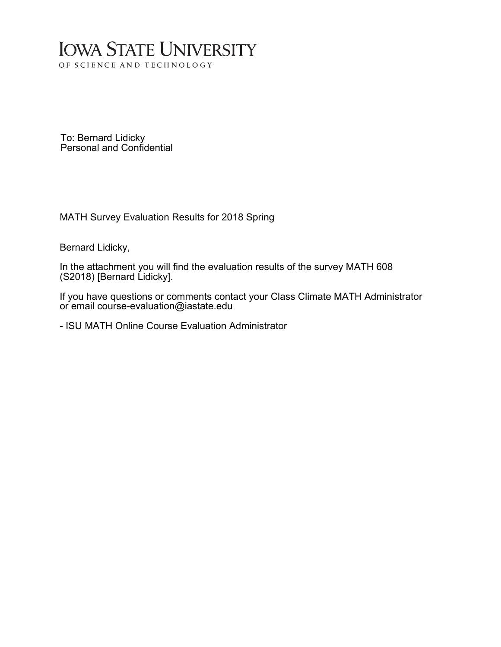## **IOWA STATE UNIVERSITY** OF SCIENCE AND TECHNOLOGY

To: Bernard Lidicky Personal and Confidential

MATH Survey Evaluation Results for 2018 Spring

Bernard Lidicky,

In the attachment you will find the evaluation results of the survey MATH 608 (S2018) [Bernard Lidicky].

If you have questions or comments contact your Class Climate MATH Administrator or email course-evaluation@iastate.edu

- ISU MATH Online Course Evaluation Administrator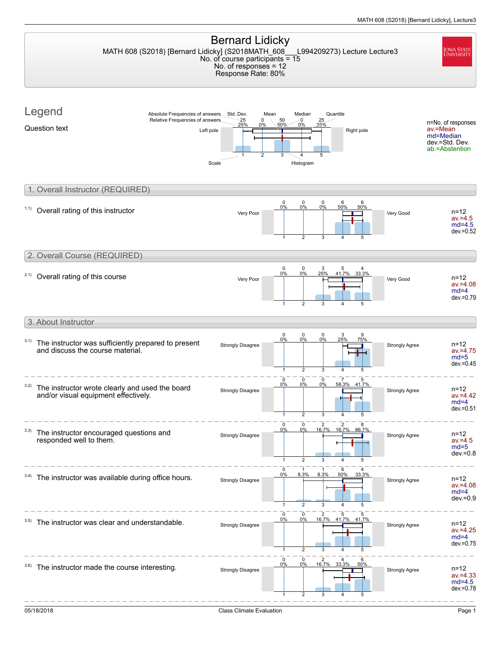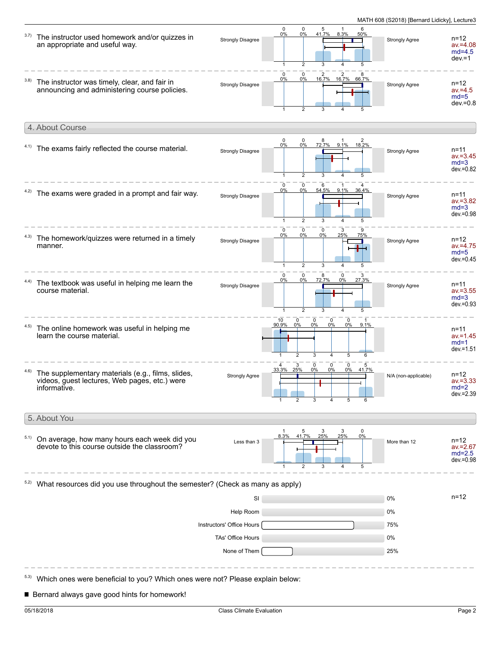| 3.7) | The instructor used homework and/or quizzes in<br>an appropriate and useful way.                                   | Strongly Disagree         | 0<br>0%<br>$\mathbf{1}$           | $\mathbf 0$<br>5<br>$0\%$<br>41.7%<br>$\overline{2}$<br>3                       | 8.3%                                         | 50%<br>5        | Strongly Agree        | n=12<br>$av = 4.08$<br>$md=4.5$<br>$dev = 1$        |
|------|--------------------------------------------------------------------------------------------------------------------|---------------------------|-----------------------------------|---------------------------------------------------------------------------------|----------------------------------------------|-----------------|-----------------------|-----------------------------------------------------|
| 3.8) | The instructor was timely, clear, and fair in<br>announcing and administering course policies.                     | <b>Strongly Disagree</b>  | $\mathbf 0$<br>0%                 | 0<br>$\overline{2}$<br>0%<br>$\overline{2}$                                     | 2<br>16.7% 16.7% 66.7%                       |                 | Strongly Agree        | $n = 12$<br>$av = 4.5$<br>$md=5$<br>$dev = 0.8$     |
|      | 4. About Course                                                                                                    |                           |                                   |                                                                                 |                                              |                 |                       |                                                     |
|      | 4.1) The exams fairly reflected the course material.                                                               | <b>Strongly Disagree</b>  | $\mathbf 0$<br>0%<br>$\mathbf{1}$ | 0<br>8<br>0%<br>$\overline{2}$<br>3                                             | 72.7% 9.1% 18.2%                             | 5               | <b>Strongly Agree</b> | $n = 11$<br>$av = 3.45$<br>$md=3$<br>$dev = 0.82$   |
| 4.2) | The exams were graded in a prompt and fair way.                                                                    | <b>Strongly Disagree</b>  | 0<br>0%<br>$\mathbf{1}$           | $\begin{smallmatrix} 0 \ 0\% \end{smallmatrix}$<br>54.5%<br>$\overline{2}$<br>3 | $\overline{4}$                               | 9.1% 36.4%<br>5 | Strongly Agree        | $n = 11$<br>$av = 3.82$<br>$md=3$<br>$dev = 0.98$   |
| 4.3) | The homework/quizzes were returned in a timely<br>manner.                                                          | <b>Strongly Disagree</b>  | 0<br>0%<br>$\mathbf{1}$           | $\mathbf 0$<br>0<br>0%<br>$0\%$<br>$\overline{2}$<br>3                          | 3<br>25%<br>4                                | 75%             | <b>Strongly Agree</b> | $n = 12$<br>$av = 4.75$<br>$md=5$<br>$dev = 0.45$   |
| 4.4) | The textbook was useful in helping me learn the<br>course material.                                                | Strongly Disagree         | $\mathbf 0$<br>0%<br>$\mathbf{1}$ | 0%<br>72.7%<br>$\overline{2}$<br>$\overline{3}$                                 | 0<br>0%                                      | 27.3%           | Strongly Agree        | $n = 11$<br>$av = 3.55$<br>$md=3$<br>$dev = 0.93$   |
| 4.5) | The online homework was useful in helping me<br>learn the course material.                                         |                           | 10<br>90.9%                       | 0<br>$\mathbf 0$<br>0%<br>0%<br>$\overline{2}$<br>3                             | $\mathbf 0$<br>0<br>$0\%$<br>$0\%$<br>5<br>4 | 9.1%<br>6       |                       | $n = 11$<br>$av = 1.45$<br>$md=1$<br>$dev = 1.51$   |
|      | The supplementary materials (e.g., films, slides,<br>videos, guest lectures, Web pages, etc.) were<br>informative. | <b>Strongly Agree</b>     | $\frac{3}{25\%}$<br>33.3%         | 0<br>0%                                                                         | $\mathbf 0$<br>0<br>$0\%$<br>$0\%$           | 41.7%           | N/A (non-applicable)  | $n = 12$<br>$av = 3.33$<br>$md=2$<br>$dev = 2.39$   |
|      | 5. About You                                                                                                       |                           |                                   |                                                                                 |                                              |                 |                       |                                                     |
| 5.1) | On average, how many hours each week did you<br>devote to this course outside the classroom?                       | Less than 3               | 8.3%                              | 41.7%<br>25%<br>$\overline{2}$<br>3                                             | 3<br>25%                                     | 0%<br>5         | More than 12          | $n = 12$<br>$av = 2.67$<br>$md=2.5$<br>$dev = 0.98$ |
| 5.2) | What resources did you use throughout the semester? (Check as many as apply)                                       |                           |                                   |                                                                                 |                                              |                 |                       |                                                     |
|      |                                                                                                                    | SI                        |                                   |                                                                                 |                                              |                 | 0%                    | $n = 12$                                            |
|      |                                                                                                                    | Help Room                 |                                   |                                                                                 |                                              |                 | 0%                    |                                                     |
|      |                                                                                                                    | Instructors' Office Hours |                                   |                                                                                 |                                              |                 | 75%                   |                                                     |
|      |                                                                                                                    | TAs' Office Hours         |                                   |                                                                                 |                                              |                 | 0%                    |                                                     |
|      |                                                                                                                    | None of Them              |                                   |                                                                                 |                                              |                 | 25%                   |                                                     |

Bernard always gave good hints for homework!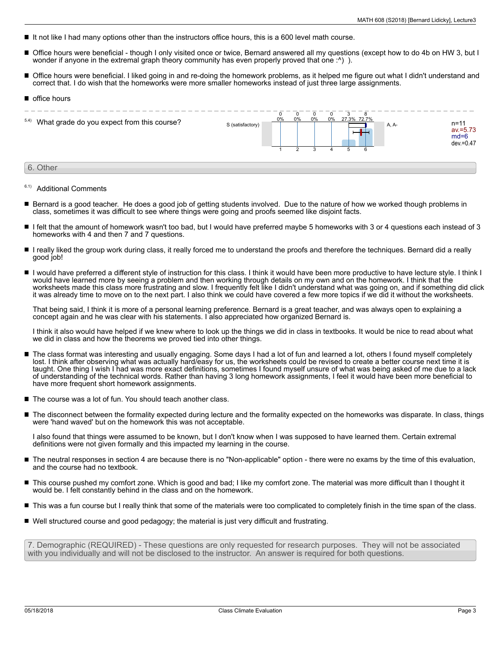- $\blacksquare$  It not like I had many options other than the instructors office hours, this is a 600 level math course.
- $\blacksquare$ Office hours were beneficial - though I only visited once or twice, Bernard answered all my questions (except how to do 4b on HW 3, but I wonder if anyone in the extremal graph theory community has even properly proved that one :^) ).
- Office hours were beneficial. I liked going in and re-doing the homework problems, as it helped me figure out what I didn't understand and correct that. I do wish that the homeworks were more smaller homeworks instead of just three large assignments.
- office hours  $- - - - \overline{0}$ 0 0 0 3 8<br><u>72.7%</u>  $5.4$ ) What grade do you expect from this course? 0% 0% 0% 0% 27.3% S (satisfactory) A, A- n=11  $av = 5.73$ md=6  $dev = 0.47$ 1 2 3 4 5 6
- 6.1) Additional Comments

6. Other

- Bernard is a good teacher. He does a good job of getting students involved. Due to the nature of how we worked though problems in class, sometimes it was difficult to see where things were going and proofs seemed like disjoint facts.
- I felt that the amount of homework wasn't too bad, but I would have preferred maybe 5 homeworks with 3 or 4 questions each instead of 3 homeworks with 4 and then 7 and 7 questions.
- I really liked the group work during class, it really forced me to understand the proofs and therefore the techniques. Bernard did a really good job!
- I would have preferred a different style of instruction for this class. I think it would have been more productive to have lecture style. I think I would have learned more by seeing a problem and then working through details on my own and on the homework. I think that the worksheets made this class more frustrating and slow. I frequently felt like I didn't understand what was going on, and if something did click it was already time to move on to the next part. I also think we could have covered a few more topics if we did it without the worksheets.

That being said, I think it is more of a personal learning preference. Bernard is a great teacher, and was always open to explaining a concept again and he was clear with his statements. I also appreciated how organized Bernard is.

I think it also would have helped if we knew where to look up the things we did in class in textbooks. It would be nice to read about what we did in class and how the theorems we proved tied into other things.

- The class format was interesting and usually engaging. Some days I had a lot of fun and learned a lot, others I found myself completely  $\blacksquare$ lost. I think after observing what was actually hard/easy for us, the worksheets could be revised to create a better course next time it is taught. One thing I wish I had was more exact definitions, sometimes I found myself unsure of what was being asked of me due to a lack of understanding of the technical words. Rather than having 3 long homework assignments, I feel it would have been more beneficial to have more frequent short homework assignments.
- The course was a lot of fun. You should teach another class.
- The disconnect between the formality expected during lecture and the formality expected on the homeworks was disparate. In class, things were 'hand waved' but on the homework this was not acceptable.

I also found that things were assumed to be known, but I don't know when I was supposed to have learned them. Certain extremal definitions were not given formally and this impacted my learning in the course.

- The neutral responses in section 4 are because there is no "Non-applicable" option there were no exams by the time of this evaluation, and the course had no textbook.
- This course pushed my comfort zone. Which is good and bad; I like my comfort zone. The material was more difficult than I thought it would be. I felt constantly behind in the class and on the homework.
- This was a fun course but I really think that some of the materials were too complicated to completely finish in the time span of the class.
- Well structured course and good pedagogy; the material is just very difficult and frustrating.

7. Demographic (REQUIRED) - These questions are only requested for research purposes. They will not be associated with you individually and will not be disclosed to the instructor. An answer is required for both questions.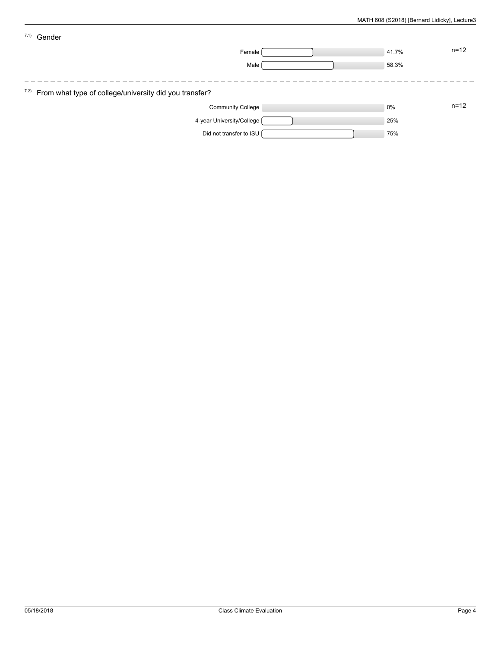| 41.7% | $n = 12$ |
|-------|----------|
| 58.3% |          |
|       |          |
|       |          |
| 0%    | $n = 12$ |
| 25%   |          |
| 75%   |          |
|       |          |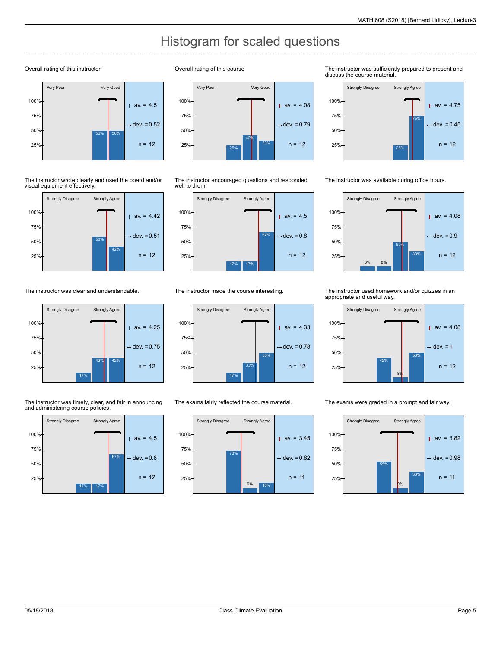## Histogram for scaled questions

## Overall rating of this instructor



The instructor wrote clearly and used the board and/or visual equipment effectively.



The instructor was clear and understandable.



The instructor was timely, clear, and fair in announcing and administering course policies.



Overall rating of this course



The instructor encouraged questions and responded well to them.



The instructor made the course interesting.



The exams fairly reflected the course material.



The instructor was sufficiently prepared to present and discuss the course material.



The instructor was available during office hours.



The instructor used homework and/or quizzes in an appropriate and useful way.



The exams were graded in a prompt and fair way.

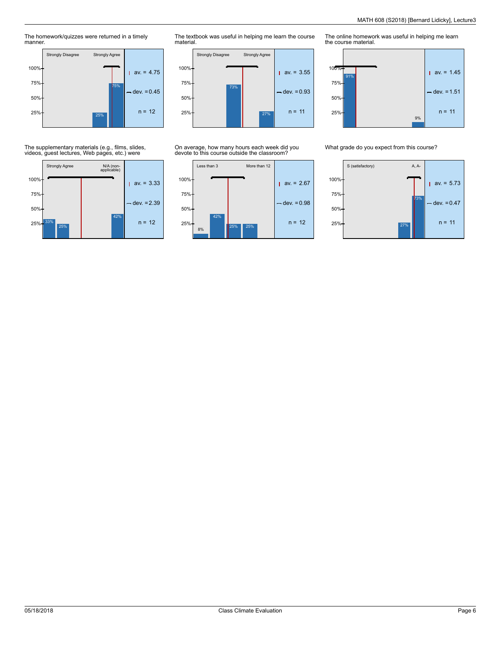The homework/quizzes were returned in a timely manner.



The supplementary materials (e.g., films, slides, videos, guest lectures, Web pages, etc.) were



The textbook was useful in helping me learn the course material.



On average, how many hours each week did you devote to this course outside the classroom?



The online homework was useful in helping me learn the course material.



What grade do you expect from this course?

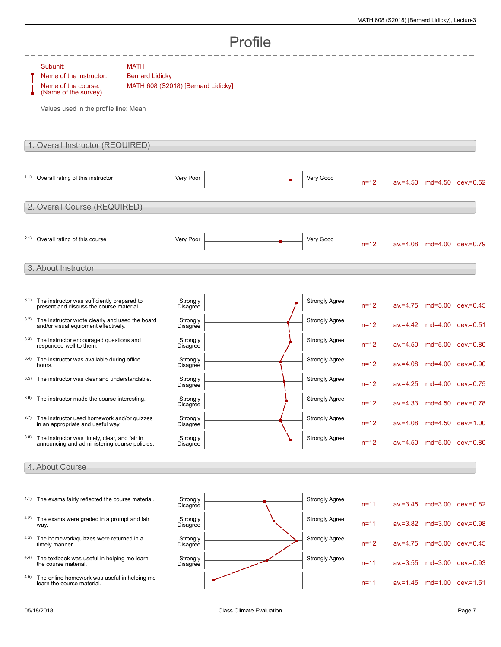|                                  | Profile                                                                                                                     |                                                                             |  |  |                       |          |             |  |                              |  |
|----------------------------------|-----------------------------------------------------------------------------------------------------------------------------|-----------------------------------------------------------------------------|--|--|-----------------------|----------|-------------|--|------------------------------|--|
|                                  | Subunit:<br>Name of the instructor:<br>Name of the course:<br>(Name of the survey)<br>Values used in the profile line: Mean | <b>MATH</b><br><b>Bernard Lidicky</b><br>MATH 608 (S2018) [Bernard Lidicky] |  |  |                       |          |             |  |                              |  |
| 1. Overall Instructor (REQUIRED) |                                                                                                                             |                                                                             |  |  |                       |          |             |  |                              |  |
|                                  | 1.1) Overall rating of this instructor                                                                                      | Very Poor                                                                   |  |  | Very Good             | $n=12$   |             |  | av.=4.50 md=4.50 dev.=0.52   |  |
|                                  | 2. Overall Course (REQUIRED)                                                                                                |                                                                             |  |  |                       |          |             |  |                              |  |
|                                  | 2.1) Overall rating of this course                                                                                          | Very Poor                                                                   |  |  | Very Good             | $n=12$   |             |  | $av = 4.08$ md=4.00 dev=0.79 |  |
|                                  | 3. About Instructor                                                                                                         |                                                                             |  |  |                       |          |             |  |                              |  |
| 3.1)                             | The instructor was sufficiently prepared to<br>present and discuss the course material.                                     | Strongly<br>Disagree                                                        |  |  | <b>Strongly Agree</b> | $n = 12$ | $av = 4.75$ |  | md=5.00 dev.=0.45            |  |
| 3.2)                             | The instructor wrote clearly and used the board<br>and/or visual equipment effectively.                                     | Strongly<br>Disagree                                                        |  |  | <b>Strongly Agree</b> | $n = 12$ | $av = 4.42$ |  | md=4.00 dev.=0.51            |  |
| 3.3)                             | The instructor encouraged questions and<br>responded well to them.                                                          | Strongly<br>Disagree                                                        |  |  | <b>Strongly Agree</b> | $n = 12$ | $av = 4.50$ |  | md=5.00 dev.=0.80            |  |
| 3.4)                             | The instructor was available during office<br>hours.                                                                        | Strongly<br>Disagree                                                        |  |  | <b>Strongly Agree</b> | $n = 12$ | $av = 4.08$ |  | md=4.00 dev.=0.90            |  |
| 3.5)                             | The instructor was clear and understandable.                                                                                | Strongly<br>Disagree                                                        |  |  | <b>Strongly Agree</b> | $n = 12$ | $av = 4.25$ |  | md=4.00 dev.=0.75            |  |
| 3.6)                             | The instructor made the course interesting.                                                                                 | Strongly<br>Disagree                                                        |  |  | <b>Strongly Agree</b> | $n=12$   |             |  | av.=4.33 md=4.50 dev.=0.78   |  |
| 3.7)                             | The instructor used homework and/or quizzes<br>in an appropriate and useful way.                                            | Strongly<br>Disagree                                                        |  |  | <b>Strongly Agree</b> | $n = 12$ | $av = 4.08$ |  | md=4.50 dev.=1.00            |  |
| 3.8)                             | The instructor was timely, clear, and fair in<br>announcing and administering course policies.                              | Strongly<br>Disagree                                                        |  |  | <b>Strongly Agree</b> | $n = 12$ | $av = 4.50$ |  | md=5.00 dev.=0.80            |  |
|                                  | 4. About Course                                                                                                             |                                                                             |  |  |                       |          |             |  |                              |  |
|                                  | 4.1) The exams fairly reflected the course material.                                                                        | Strongly<br>Disagree                                                        |  |  | <b>Strongly Agree</b> | $n = 11$ | $av = 3.45$ |  | md=3.00 dev.=0.82            |  |
|                                  | 4.2) The exams were graded in a prompt and fair<br>way.                                                                     | Strongly<br>Disagree                                                        |  |  | Strongly Agree        | $n = 11$ | $av = 3.82$ |  | md=3.00 dev.=0.98            |  |
|                                  | 4.3) The homework/quizzes were returned in a<br>timely manner.                                                              | Strongly<br>Disagree                                                        |  |  | Strongly Agree        | $n = 12$ | $av = 4.75$ |  | md=5.00 dev.=0.45            |  |
|                                  | 4.4) The textbook was useful in helping me learn<br>the course material.                                                    | Strongly<br>Disagree                                                        |  |  | <b>Strongly Agree</b> | $n = 11$ | $av = 3.55$ |  | md=3.00 dev.=0.93            |  |
| 4.5)                             | The online homework was useful in helping me<br>learn the course material.                                                  |                                                                             |  |  |                       | $n = 11$ | $av = 1.45$ |  | md=1.00 dev.=1.51            |  |